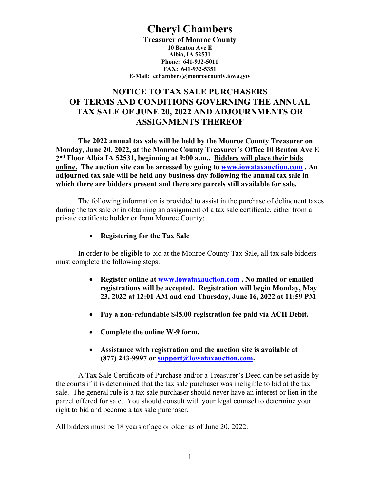# **Cheryl Chambers**

**Treasurer of Monroe County 10 Benton Ave E Albia, IA 52531 Phone: 641-932-5011 FAX: 641-932-5351 E-Mail: cchambers@monroecounty.iowa.gov**

# **NOTICE TO TAX SALE PURCHASERS OF TERMS AND CONDITIONS GOVERNING THE ANNUAL TAX SALE OF JUNE 20, 2022 AND ADJOURNMENTS OR ASSIGNMENTS THEREOF**

**The 2022 annual tax sale will be held by the Monroe County Treasurer on Monday, June 20, 2022, at the Monroe County Treasurer's Office 10 Benton Ave E 2nd Floor Albia IA 52531, beginning at 9:00 a.m.. Bidders will place their bids online. The auction site can be accessed by going to [www.iowataxauction.com](http://www.iowataxauction.com/) . An adjourned tax sale will be held any business day following the annual tax sale in which there are bidders present and there are parcels still available for sale.**

The following information is provided to assist in the purchase of delinquent taxes during the tax sale or in obtaining an assignment of a tax sale certificate, either from a private certificate holder or from Monroe County:

# • **Registering for the Tax Sale**

In order to be eligible to bid at the Monroe County Tax Sale, all tax sale bidders must complete the following steps:

- **Register online at [www.iowataxauction.com](http://www.iowataxauction.com/) . No mailed or emailed registrations will be accepted. Registration will begin Monday, May 23, 2022 at 12:01 AM and end Thursday, June 16, 2022 at 11:59 PM**
- **Pay a non-refundable \$45.00 registration fee paid via ACH Debit.**
- **Complete the online W-9 form.**
- **Assistance with registration and the auction site is available at (877) 243-9997 or [support@iowataxauction.com.](mailto:support@iowataxauction.com)**

A Tax Sale Certificate of Purchase and/or a Treasurer's Deed can be set aside by the courts if it is determined that the tax sale purchaser was ineligible to bid at the tax sale. The general rule is a tax sale purchaser should never have an interest or lien in the parcel offered for sale. You should consult with your legal counsel to determine your right to bid and become a tax sale purchaser.

All bidders must be 18 years of age or older as of June 20, 2022.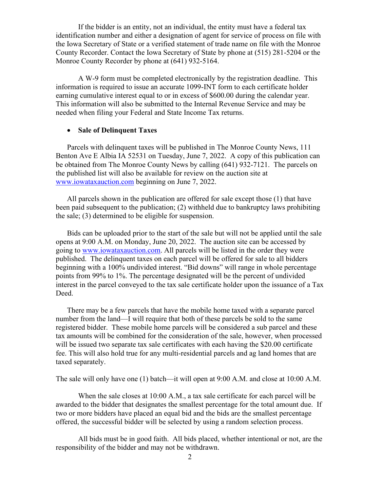If the bidder is an entity, not an individual, the entity must have a federal tax identification number and either a designation of agent for service of process on file with the Iowa Secretary of State or a verified statement of trade name on file with the Monroe County Recorder. Contact the Iowa Secretary of State by phone at (515) 281-5204 or the Monroe County Recorder by phone at (641) 932-5164.

A W-9 form must be completed electronically by the registration deadline. This information is required to issue an accurate 1099-INT form to each certificate holder earning cumulative interest equal to or in excess of \$600.00 during the calendar year. This information will also be submitted to the Internal Revenue Service and may be needed when filing your Federal and State Income Tax returns.

# • **Sale of Delinquent Taxes**

Parcels with delinquent taxes will be published in The Monroe County News, 111 Benton Ave E Albia IA 52531 on Tuesday, June 7, 2022. A copy of this publication can be obtained from The Monroe County News by calling (641) 932-7121. The parcels on the published list will also be available for review on the auction site at [www.iowataxauction.com](http://www.iowataxauction.com/) beginning on June 7, 2022.

All parcels shown in the publication are offered for sale except those (1) that have been paid subsequent to the publication; (2) withheld due to bankruptcy laws prohibiting the sale; (3) determined to be eligible for suspension.

Bids can be uploaded prior to the start of the sale but will not be applied until the sale opens at 9:00 A.M. on Monday, June 20, 2022. The auction site can be accessed by going to [www.iowataxauction.com.](http://www.iowataxauction.com/) All parcels will be listed in the order they were published. The delinquent taxes on each parcel will be offered for sale to all bidders beginning with a 100% undivided interest. "Bid downs" will range in whole percentage points from 99% to 1%. The percentage designated will be the percent of undivided interest in the parcel conveyed to the tax sale certificate holder upon the issuance of a Tax Deed.

There may be a few parcels that have the mobile home taxed with a separate parcel number from the land—I will require that both of these parcels be sold to the same registered bidder. These mobile home parcels will be considered a sub parcel and these tax amounts will be combined for the consideration of the sale, however, when processed will be issued two separate tax sale certificates with each having the \$20.00 certificate fee. This will also hold true for any multi-residential parcels and ag land homes that are taxed separately.

The sale will only have one (1) batch—it will open at 9:00 A.M. and close at 10:00 A.M.

When the sale closes at 10:00 A.M., a tax sale certificate for each parcel will be awarded to the bidder that designates the smallest percentage for the total amount due. If two or more bidders have placed an equal bid and the bids are the smallest percentage offered, the successful bidder will be selected by using a random selection process.

All bids must be in good faith. All bids placed, whether intentional or not, are the responsibility of the bidder and may not be withdrawn.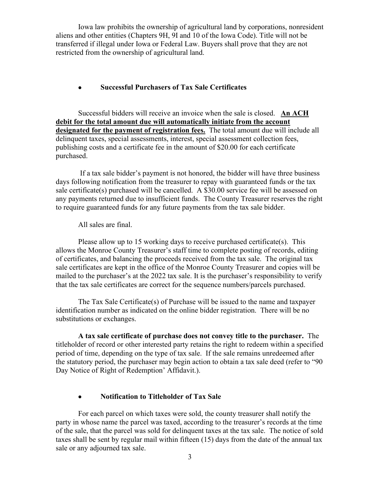Iowa law prohibits the ownership of agricultural land by corporations, nonresident aliens and other entities (Chapters 9H, 9I and 10 of the Iowa Code). Title will not be transferred if illegal under Iowa or Federal Law. Buyers shall prove that they are not restricted from the ownership of agricultural land.

#### • **Successful Purchasers of Tax Sale Certificates**

Successful bidders will receive an invoice when the sale is closed. **An ACH debit for the total amount due will automatically initiate from the account designated for the payment of registration fees.** The total amount due will include all delinquent taxes, special assessments, interest, special assessment collection fees, publishing costs and a certificate fee in the amount of \$20.00 for each certificate purchased.

 If a tax sale bidder's payment is not honored, the bidder will have three business days following notification from the treasurer to repay with guaranteed funds or the tax sale certificate(s) purchased will be cancelled. A \$30.00 service fee will be assessed on any payments returned due to insufficient funds. The County Treasurer reserves the right to require guaranteed funds for any future payments from the tax sale bidder.

All sales are final.

Please allow up to 15 working days to receive purchased certificate(s). This allows the Monroe County Treasurer's staff time to complete posting of records, editing of certificates, and balancing the proceeds received from the tax sale. The original tax sale certificates are kept in the office of the Monroe County Treasurer and copies will be mailed to the purchaser's at the 2022 tax sale. It is the purchaser's responsibility to verify that the tax sale certificates are correct for the sequence numbers/parcels purchased.

The Tax Sale Certificate(s) of Purchase will be issued to the name and taxpayer identification number as indicated on the online bidder registration. There will be no substitutions or exchanges.

**A tax sale certificate of purchase does not convey title to the purchaser.** The titleholder of record or other interested party retains the right to redeem within a specified period of time, depending on the type of tax sale. If the sale remains unredeemed after the statutory period, the purchaser may begin action to obtain a tax sale deed (refer to "90 Day Notice of Right of Redemption' Affidavit.).

# • **Notification to Titleholder of Tax Sale**

For each parcel on which taxes were sold, the county treasurer shall notify the party in whose name the parcel was taxed, according to the treasurer's records at the time of the sale, that the parcel was sold for delinquent taxes at the tax sale. The notice of sold taxes shall be sent by regular mail within fifteen (15) days from the date of the annual tax sale or any adjourned tax sale.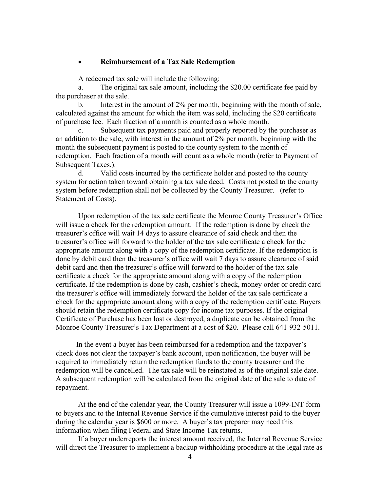#### • **Reimbursement of a Tax Sale Redemption**

A redeemed tax sale will include the following:

a. The original tax sale amount, including the \$20.00 certificate fee paid by the purchaser at the sale.

b. Interest in the amount of 2% per month, beginning with the month of sale, calculated against the amount for which the item was sold, including the \$20 certificate of purchase fee. Each fraction of a month is counted as a whole month.

c. Subsequent tax payments paid and properly reported by the purchaser as an addition to the sale, with interest in the amount of 2% per month, beginning with the month the subsequent payment is posted to the county system to the month of redemption. Each fraction of a month will count as a whole month (refer to Payment of Subsequent Taxes.).

d. Valid costs incurred by the certificate holder and posted to the county system for action taken toward obtaining a tax sale deed. Costs not posted to the county system before redemption shall not be collected by the County Treasurer. (refer to Statement of Costs).

Upon redemption of the tax sale certificate the Monroe County Treasurer's Office will issue a check for the redemption amount. If the redemption is done by check the treasurer's office will wait 14 days to assure clearance of said check and then the treasurer's office will forward to the holder of the tax sale certificate a check for the appropriate amount along with a copy of the redemption certificate. If the redemption is done by debit card then the treasurer's office will wait 7 days to assure clearance of said debit card and then the treasurer's office will forward to the holder of the tax sale certificate a check for the appropriate amount along with a copy of the redemption certificate. If the redemption is done by cash, cashier's check, money order or credit card the treasurer's office will immediately forward the holder of the tax sale certificate a check for the appropriate amount along with a copy of the redemption certificate. Buyers should retain the redemption certificate copy for income tax purposes. If the original Certificate of Purchase has been lost or destroyed, a duplicate can be obtained from the Monroe County Treasurer's Tax Department at a cost of \$20. Please call 641-932-5011.

 In the event a buyer has been reimbursed for a redemption and the taxpayer's check does not clear the taxpayer's bank account, upon notification, the buyer will be required to immediately return the redemption funds to the county treasurer and the redemption will be cancelled. The tax sale will be reinstated as of the original sale date. A subsequent redemption will be calculated from the original date of the sale to date of repayment.

At the end of the calendar year, the County Treasurer will issue a 1099-INT form to buyers and to the Internal Revenue Service if the cumulative interest paid to the buyer during the calendar year is \$600 or more. A buyer's tax preparer may need this information when filing Federal and State Income Tax returns.

If a buyer underreports the interest amount received, the Internal Revenue Service will direct the Treasurer to implement a backup withholding procedure at the legal rate as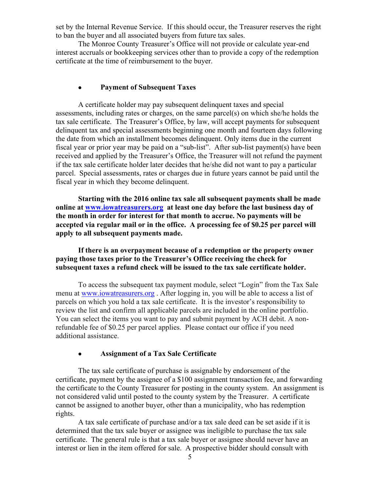set by the Internal Revenue Service. If this should occur, the Treasurer reserves the right to ban the buyer and all associated buyers from future tax sales.

The Monroe County Treasurer's Office will not provide or calculate year-end interest accruals or bookkeeping services other than to provide a copy of the redemption certificate at the time of reimbursement to the buyer.

#### • **Payment of Subsequent Taxes**

A certificate holder may pay subsequent delinquent taxes and special assessments, including rates or charges, on the same parcel(s) on which she/he holds the tax sale certificate. The Treasurer's Office, by law, will accept payments for subsequent delinquent tax and special assessments beginning one month and fourteen days following the date from which an installment becomes delinquent. Only items due in the current fiscal year or prior year may be paid on a "sub-list". After sub-list payment(s) have been received and applied by the Treasurer's Office, the Treasurer will not refund the payment if the tax sale certificate holder later decides that he/she did not want to pay a particular parcel. Special assessments, rates or charges due in future years cannot be paid until the fiscal year in which they become delinquent.

**Starting with the 2016 online tax sale all subsequent payments shall be made online at [www.iowatreasurers.org](http://www.iowatreasurers.org/) at least one day before the last business day of the month in order for interest for that month to accrue. No payments will be accepted via regular mail or in the office. A processing fee of \$0.25 per parcel will apply to all subsequent payments made.** 

# **If there is an overpayment because of a redemption or the property owner paying those taxes prior to the Treasurer's Office receiving the check for subsequent taxes a refund check will be issued to the tax sale certificate holder.**

To access the subsequent tax payment module, select "Login" from the Tax Sale menu at [www.iowatreasurers.org](http://www.iowatreasurers.org/) . After logging in, you will be able to access a list of parcels on which you hold a tax sale certificate. It is the investor's responsibility to review the list and confirm all applicable parcels are included in the online portfolio. You can select the items you want to pay and submit payment by ACH debit. A nonrefundable fee of \$0.25 per parcel applies. Please contact our office if you need additional assistance.

# • **Assignment of a Tax Sale Certificate**

The tax sale certificate of purchase is assignable by endorsement of the certificate, payment by the assignee of a \$100 assignment transaction fee, and forwarding the certificate to the County Treasurer for posting in the county system. An assignment is not considered valid until posted to the county system by the Treasurer. A certificate cannot be assigned to another buyer, other than a municipality, who has redemption rights.

A tax sale certificate of purchase and/or a tax sale deed can be set aside if it is determined that the tax sale buyer or assignee was ineligible to purchase the tax sale certificate. The general rule is that a tax sale buyer or assignee should never have an interest or lien in the item offered for sale. A prospective bidder should consult with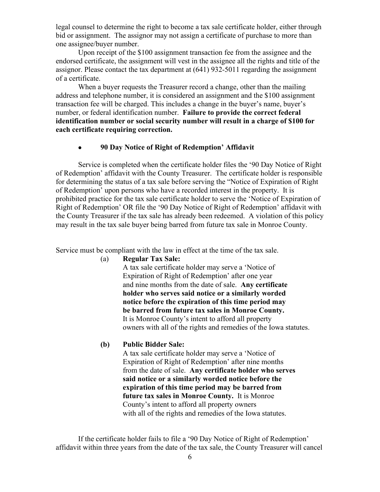legal counsel to determine the right to become a tax sale certificate holder, either through bid or assignment. The assignor may not assign a certificate of purchase to more than one assignee/buyer number.

Upon receipt of the \$100 assignment transaction fee from the assignee and the endorsed certificate, the assignment will vest in the assignee all the rights and title of the assignor. Please contact the tax department at (641) 932-5011 regarding the assignment of a certificate.

When a buyer requests the Treasurer record a change, other than the mailing address and telephone number, it is considered an assignment and the \$100 assignment transaction fee will be charged. This includes a change in the buyer's name, buyer's number, or federal identification number. **Failure to provide the correct federal identification number or social security number will result in a charge of \$100 for each certificate requiring correction.**

# • **90 Day Notice of Right of Redemption' Affidavit**

Service is completed when the certificate holder files the '90 Day Notice of Right of Redemption' affidavit with the County Treasurer. The certificate holder is responsible for determining the status of a tax sale before serving the "Notice of Expiration of Right of Redemption' upon persons who have a recorded interest in the property. It is prohibited practice for the tax sale certificate holder to serve the 'Notice of Expiration of Right of Redemption' OR file the '90 Day Notice of Right of Redemption' affidavit with the County Treasurer if the tax sale has already been redeemed. A violation of this policy may result in the tax sale buyer being barred from future tax sale in Monroe County.

Service must be compliant with the law in effect at the time of the tax sale.

(a) **Regular Tax Sale:**

A tax sale certificate holder may serve a 'Notice of Expiration of Right of Redemption' after one year and nine months from the date of sale. **Any certificate holder who serves said notice or a similarly worded notice before the expiration of this time period may be barred from future tax sales in Monroe County.**  It is Monroe County's intent to afford all property owners with all of the rights and remedies of the Iowa statutes.

#### **(b) Public Bidder Sale:**

A tax sale certificate holder may serve a 'Notice of Expiration of Right of Redemption' after nine months from the date of sale. **Any certificate holder who serves said notice or a similarly worded notice before the expiration of this time period may be barred from future tax sales in Monroe County.** It is Monroe County's intent to afford all property owners with all of the rights and remedies of the Iowa statutes.

If the certificate holder fails to file a '90 Day Notice of Right of Redemption' affidavit within three years from the date of the tax sale, the County Treasurer will cancel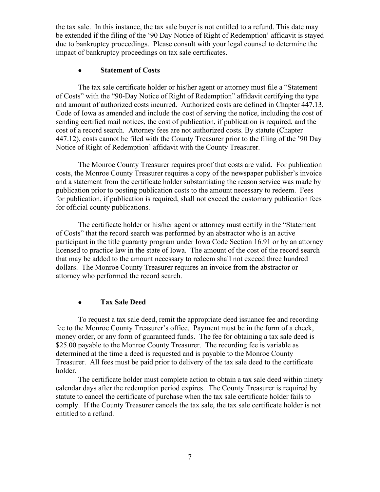the tax sale. In this instance, the tax sale buyer is not entitled to a refund. This date may be extended if the filing of the '90 Day Notice of Right of Redemption' affidavit is stayed due to bankruptcy proceedings. Please consult with your legal counsel to determine the impact of bankruptcy proceedings on tax sale certificates.

#### • **Statement of Costs**

The tax sale certificate holder or his/her agent or attorney must file a "Statement of Costs" with the "90-Day Notice of Right of Redemption" affidavit certifying the type and amount of authorized costs incurred. Authorized costs are defined in Chapter 447.13, Code of Iowa as amended and include the cost of serving the notice, including the cost of sending certified mail notices, the cost of publication, if publication is required, and the cost of a record search. Attorney fees are not authorized costs. By statute (Chapter 447.12), costs cannot be filed with the County Treasurer prior to the filing of the '90 Day Notice of Right of Redemption' affidavit with the County Treasurer.

The Monroe County Treasurer requires proof that costs are valid. For publication costs, the Monroe County Treasurer requires a copy of the newspaper publisher's invoice and a statement from the certificate holder substantiating the reason service was made by publication prior to posting publication costs to the amount necessary to redeem. Fees for publication, if publication is required, shall not exceed the customary publication fees for official county publications.

The certificate holder or his/her agent or attorney must certify in the "Statement of Costs" that the record search was performed by an abstractor who is an active participant in the title guaranty program under Iowa Code Section 16.91 or by an attorney licensed to practice law in the state of Iowa. The amount of the cost of the record search that may be added to the amount necessary to redeem shall not exceed three hundred dollars. The Monroe County Treasurer requires an invoice from the abstractor or attorney who performed the record search.

# • **Tax Sale Deed**

To request a tax sale deed, remit the appropriate deed issuance fee and recording fee to the Monroe County Treasurer's office. Payment must be in the form of a check, money order, or any form of guaranteed funds. The fee for obtaining a tax sale deed is \$25.00 payable to the Monroe County Treasurer. The recording fee is variable as determined at the time a deed is requested and is payable to the Monroe County Treasurer. All fees must be paid prior to delivery of the tax sale deed to the certificate holder.

The certificate holder must complete action to obtain a tax sale deed within ninety calendar days after the redemption period expires. The County Treasurer is required by statute to cancel the certificate of purchase when the tax sale certificate holder fails to comply. If the County Treasurer cancels the tax sale, the tax sale certificate holder is not entitled to a refund.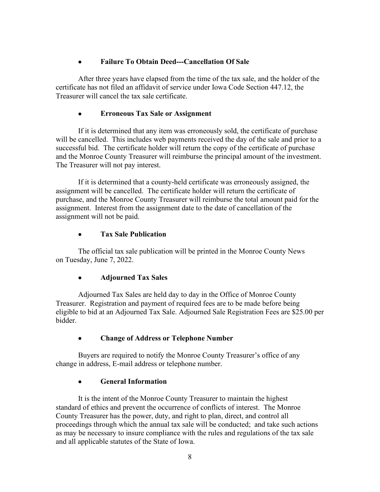# • **Failure To Obtain Deed---Cancellation Of Sale**

After three years have elapsed from the time of the tax sale, and the holder of the certificate has not filed an affidavit of service under Iowa Code Section 447.12, the Treasurer will cancel the tax sale certificate.

# • **Erroneous Tax Sale or Assignment**

If it is determined that any item was erroneously sold, the certificate of purchase will be cancelled. This includes web payments received the day of the sale and prior to a successful bid. The certificate holder will return the copy of the certificate of purchase and the Monroe County Treasurer will reimburse the principal amount of the investment. The Treasurer will not pay interest.

If it is determined that a county-held certificate was erroneously assigned, the assignment will be cancelled. The certificate holder will return the certificate of purchase, and the Monroe County Treasurer will reimburse the total amount paid for the assignment. Interest from the assignment date to the date of cancellation of the assignment will not be paid.

# • **Tax Sale Publication**

The official tax sale publication will be printed in the Monroe County News on Tuesday, June 7, 2022.

# • **Adjourned Tax Sales**

Adjourned Tax Sales are held day to day in the Office of Monroe County Treasurer. Registration and payment of required fees are to be made before being eligible to bid at an Adjourned Tax Sale. Adjourned Sale Registration Fees are \$25.00 per bidder.

# • **Change of Address or Telephone Number**

Buyers are required to notify the Monroe County Treasurer's office of any change in address, E-mail address or telephone number.

# • **General Information**

It is the intent of the Monroe County Treasurer to maintain the highest standard of ethics and prevent the occurrence of conflicts of interest. The Monroe County Treasurer has the power, duty, and right to plan, direct, and control all proceedings through which the annual tax sale will be conducted; and take such actions as may be necessary to insure compliance with the rules and regulations of the tax sale and all applicable statutes of the State of Iowa.